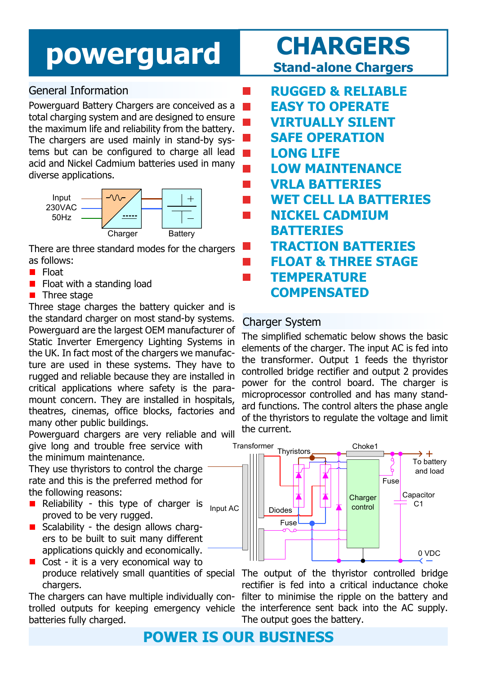## **powerguard CHARGERS**

## General Information

Powerguard Battery Chargers are conceived as a  $\mathcal{L}^{\text{max}}$ total charging system and are designed to ensure the maximum life and reliability from the battery. The chargers are used mainly in stand-by systems but can be configured to charge all lead acid and Nickel Cadmium batteries used in many diverse applications.



There are three standard modes for the chargers as follows:

- $\blacksquare$  Float
- $\blacksquare$  Float with a standing load
- $\blacksquare$  Three stage

Three stage charges the battery quicker and is the standard charger on most stand-by systems. Powerguard are the largest OEM manufacturer of Static Inverter Emergency Lighting Systems in the UK. In fact most of the chargers we manufacture are used in these systems. They have to rugged and reliable because they are installed in critical applications where safety is the paramount concern. They are installed in hospitals, theatres, cinemas, office blocks, factories and many other public buildings.

Powerguard chargers are very reliable and will give long and trouble free service with

the minimum maintenance.

They use thyristors to control the charge rate and this is the preferred method for the following reasons:

- Reliability this type of charger is proved to be very rugged. Input AC
- $\blacksquare$  Scalability the design allows chargers to be built to suit many different applications quickly and economically.
- $\blacksquare$  Cost it is a very economical way to produce relatively small quantities of special chargers.

The chargers can have multiple individually con-filter to minimise the ripple on the battery and trolled outputs for keeping emergency vehicle the interference sent back into the AC supply. batteries fully charged.

# **Stand-alone Chargers**

 **RUGGED & RELIABLE EASY TO OPERATE VIRTUALLY SILENT SAFE OPERATION LONG LIFE LOW MAINTENANCE VRLA BATTERIES WET CELL LA BATTERIES NICKEL CADMIUM BATTERIES TRACTION BATTERIES FLOAT & THREE STAGE TEMPERATURE COMPENSATED**

### Charger System

 $\mathcal{L}_{\mathcal{A}}$ 

The simplified schematic below shows the basic elements of the charger. The input AC is fed into the transformer. Output 1 feeds the thyristor controlled bridge rectifier and output 2 provides power for the control board. The charger is microprocessor controlled and has many standard functions. The control alters the phase angle of the thyristors to regulate the voltage and limit the current.



The output of the thyristor controlled bridge rectifier is fed into a critical inductance choke The output goes the battery.

**POWER IS OUR BUSINESS**